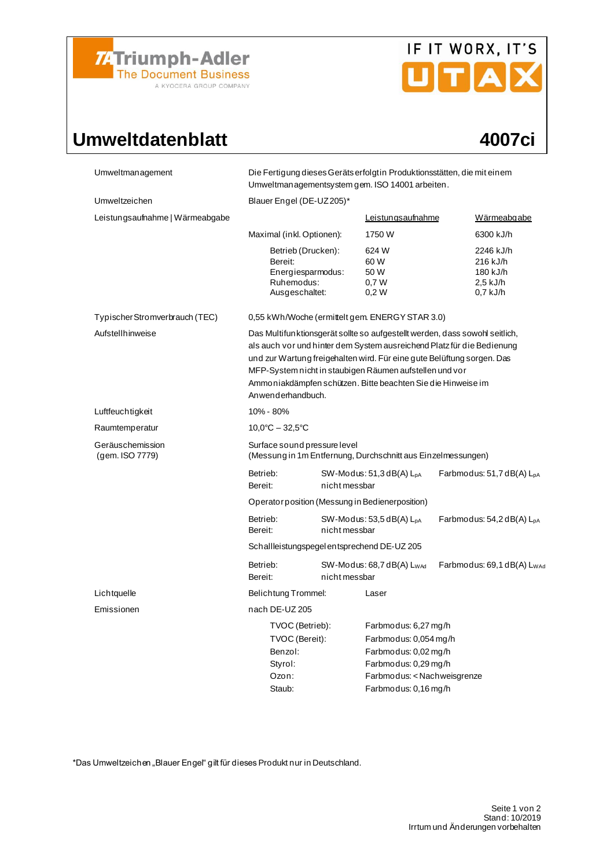

# IF IT WORX, IT'S

## Umweltdatenblatt 4007ci

| Umweltmanagement                    | Die Fertigung dieses Geräts erfolgt in Produktionsstätten, die mit einem<br>Umweltmanagementsystem gem. ISO 14001 arbeiten.                                                                                                                                                                                                                                                     |                                             |                                                                                                                                                      |  |                                                             |  |
|-------------------------------------|---------------------------------------------------------------------------------------------------------------------------------------------------------------------------------------------------------------------------------------------------------------------------------------------------------------------------------------------------------------------------------|---------------------------------------------|------------------------------------------------------------------------------------------------------------------------------------------------------|--|-------------------------------------------------------------|--|
| Umweltzeichen                       | Blauer Engel (DE-UZ205)*                                                                                                                                                                                                                                                                                                                                                        |                                             |                                                                                                                                                      |  |                                                             |  |
| Leistungsaufnahme   Wärmeabgabe     |                                                                                                                                                                                                                                                                                                                                                                                 |                                             | <b>Leistungsaufnahme</b>                                                                                                                             |  | Wärmeabgabe                                                 |  |
|                                     | Maximal (inkl. Optionen):                                                                                                                                                                                                                                                                                                                                                       |                                             | 1750 W                                                                                                                                               |  | 6300 kJ/h                                                   |  |
|                                     | Betrieb (Drucken):<br>Bereit:<br>Energiesparmodus:<br>Ruhemodus:<br>Ausgeschaltet:                                                                                                                                                                                                                                                                                              |                                             | 624 W<br>60 W<br>50 W<br>0,7W<br>0,2W                                                                                                                |  | 2246 kJ/h<br>216 kJ/h<br>180 kJ/h<br>2,5 kJ/h<br>$0,7$ kJ/h |  |
| Typischer Stromverbrauch (TEC)      | 0,55 kWh/Woche (ermittelt gem. ENERGY STAR 3.0)                                                                                                                                                                                                                                                                                                                                 |                                             |                                                                                                                                                      |  |                                                             |  |
| Aufstellhinweise                    | Das Multifunktionsgerät sollte so aufgestellt werden, dass sowohl seitlich,<br>als auch vor und hinter dem System ausreichend Platz für die Bedienung<br>und zur Wartung freigehalten wird. Für eine gute Belüftung sorgen. Das<br>MFP-System nicht in staubigen Räumen aufstellen und vor<br>Ammoniakdämpfen schützen. Bitte beachten Sie die Hinweise im<br>Anwenderhandbuch. |                                             |                                                                                                                                                      |  |                                                             |  |
| Luftfeuchtigkeit                    | 10% - 80%                                                                                                                                                                                                                                                                                                                                                                       |                                             |                                                                                                                                                      |  |                                                             |  |
| Raumtemperatur                      | $10.0^{\circ}$ C - 32,5 $^{\circ}$ C                                                                                                                                                                                                                                                                                                                                            |                                             |                                                                                                                                                      |  |                                                             |  |
| Geräuschemission<br>(gem. ISO 7779) | Surface sound pressure level<br>(Messung in 1m Entfernung, Durchschnitt aus Einzelmessungen)                                                                                                                                                                                                                                                                                    |                                             |                                                                                                                                                      |  |                                                             |  |
|                                     | Betrieb:<br>Bereit:                                                                                                                                                                                                                                                                                                                                                             | $SW-Modus: 51,3 dB(A) LDA$<br>nicht messbar |                                                                                                                                                      |  | Farbmodus: $51,7$ dB(A) $L_{DA}$                            |  |
|                                     | Operator position (Messung in Bedienerposition)                                                                                                                                                                                                                                                                                                                                 |                                             |                                                                                                                                                      |  |                                                             |  |
|                                     | Betrieb:<br>Bereit:                                                                                                                                                                                                                                                                                                                                                             | $SW-Modus: 53,5 dB(A) LPA$<br>nicht messbar |                                                                                                                                                      |  | Farbmodus: $54,2$ dB(A) $L_{pA}$                            |  |
|                                     | Schallleistungspegel entsprechend DE-UZ 205                                                                                                                                                                                                                                                                                                                                     |                                             |                                                                                                                                                      |  |                                                             |  |
|                                     | Betrieb:<br>Bereit:                                                                                                                                                                                                                                                                                                                                                             | nicht messbar                               | $SW-Modus: 68,7 dB(A) L_{WAd}$                                                                                                                       |  | Farbmodus: 69,1 dB(A) L <sub>WAc</sub>                      |  |
| Lichtquelle                         | Belichtung Trommel:                                                                                                                                                                                                                                                                                                                                                             |                                             | Laser                                                                                                                                                |  |                                                             |  |
| Emissionen                          | nach DE-UZ 205                                                                                                                                                                                                                                                                                                                                                                  |                                             |                                                                                                                                                      |  |                                                             |  |
|                                     | TVOC (Betrieb):<br>TVOC (Bereit):<br>Benzol:<br>Styrol:<br>Ozon:<br>Staub:                                                                                                                                                                                                                                                                                                      |                                             | Farbmodus: 6,27 mg/h<br>Farbmodus: 0,054 mg/h<br>Farbmodus: 0,02 mg/h<br>Farbmodus: 0,29 mg/h<br>Farbmodus: < Nachweisgrenze<br>Farbmodus: 0,16 mg/h |  |                                                             |  |

\*Das Umweltzeichen "Blauer Engel" gilt für dieses Produkt nur in Deutschland.